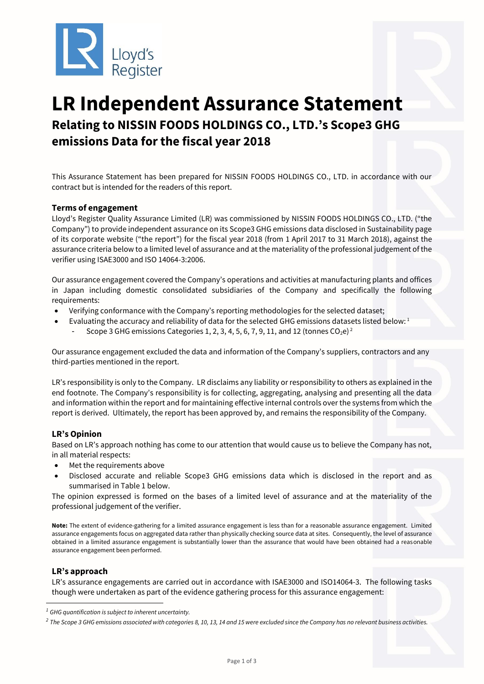

# **LR Independent Assurance Statement Relating to NISSIN FOODS HOLDINGS CO., LTD.'s Scope3 GHG emissions Data for the fiscal year 2018**

This Assurance Statement has been prepared for NISSIN FOODS HOLDINGS CO., LTD. in accordance with our contract but is intended for the readers of this report.

## **Terms of engagement**

Lloyd's Register Quality Assurance Limited (LR) was commissioned by NISSIN FOODS HOLDINGS CO., LTD. ("the Company") to provide independent assurance on its Scope3 GHG emissions data disclosed in Sustainability page of its corporate website ("the report") for the fiscal year 2018 (from 1 April 2017 to 31 March 2018), against the assurance criteria below to a limited level of assurance and at the materiality of the professional judgement of the verifier using ISAE3000 and ISO 14064-3:2006.

Our assurance engagement covered the Company's operations and activities at manufacturing plants and offices in Japan including domestic consolidated subsidiaries of the Company and specifically the following requirements:

- Verifying conformance with the Company's reporting methodologies for the selected dataset;
- Evaluating the accuracy and reliability of data for the selected GHG emissions datasets listed below:<sup>1</sup>
	- Scope 3 GHG emissions Categories 1, 2, 3, 4, 5, 6, 7, 9, 11, and 12 (tonnes  $CO<sub>2</sub>e)^2$

Our assurance engagement excluded the data and information of the Company's suppliers, contractors and any third-parties mentioned in the report.

LR's responsibility is only to the Company. LR disclaims any liability or responsibility to others as explained in the end footnote. The Company's responsibility is for collecting, aggregating, analysing and presenting all the data and information within the report and for maintaining effective internal controls over the systems from which the report is derived. Ultimately, the report has been approved by, and remains the responsibility of the Company.

#### **LR's Opinion**

Based on LR's approach nothing has come to our attention that would cause us to believe the Company has not, in all material respects:

- Met the requirements above
- Disclosed accurate and reliable Scope3 GHG emissions data which is disclosed in the report and as summarised in Table 1 below.

The opinion expressed is formed on the bases of a limited level of assurance and at the materiality of the professional judgement of the verifier.

**Note:** The extent of evidence-gathering for a limited assurance engagement is less than for a reasonable assurance engagement. Limited assurance engagements focus on aggregated data rather than physically checking source data at sites. Consequently, the level of assurance obtained in a limited assurance engagement is substantially lower than the assurance that would have been obtained had a reasonable assurance engagement been performed.

#### **LR's approach**

LR's assurance engagements are carried out in accordance with ISAE3000 and ISO14064-3. The following tasks though were undertaken as part of the evidence gathering process for this assurance engagement:

*2 The Scope 3 GHG emissions associated with categories 8, 10, 13, 14 and 15 were excluded since the Company has no relevant business activities.*

*<sup>1</sup> GHG quantification is subject to inherent uncertainty.*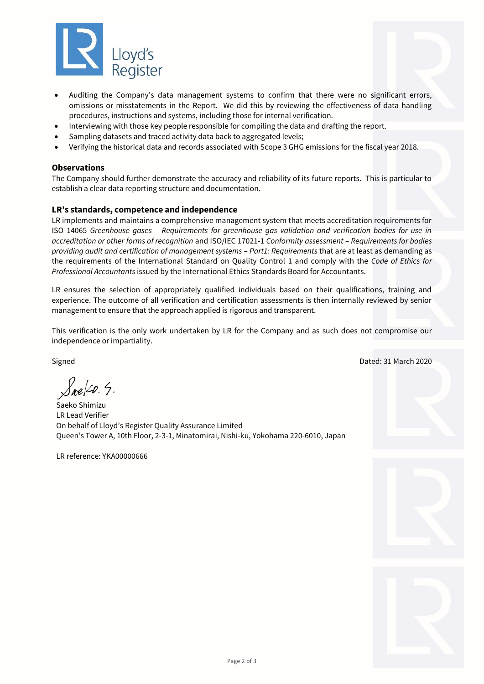

- Auditing the Company's data management systems to confirm that there were no significant errors, omissions or misstatements in the Report. We did this by reviewing the effectiveness of data handling procedures, instructions and systems, including those for internal verification.
- Interviewing with those key people responsible for compiling the data and drafting the report.
- Sampling datasets and traced activity data back to aggregated levels;
- Verifying the historical data and records associated with Scope 3 GHG emissions for the fiscal year 2018.

#### **Observations**

The Company should further demonstrate the accuracy and reliability of its future reports. This is particular to establish a clear data reporting structure and documentation.

## **LR's standards, competence and independence**

LR implements and maintains a comprehensive management system that meets accreditation requirements for ISO 14065 *Greenhouse gases – Requirements for greenhouse gas validation and verification bodies for use in accreditation or other forms of recognition* and ISO/IEC 17021-1 *Conformity assessment – Requirements for bodies providing audit and certification of management systems – Part1: Requirements* that are at least as demanding as the requirements of the International Standard on Quality Control 1 and comply with the *Code of Ethics for Professional Accountants* issued by the International Ethics Standards Board for Accountants.

LR ensures the selection of appropriately qualified individuals based on their qualifications, training and experience. The outcome of all verification and certification assessments is then internally reviewed by senior management to ensure that the approach applied is rigorous and transparent.

This verification is the only work undertaken by LR for the Company and as such does not compromise our independence or impartiality.

Signed Dated: 31 March 2020

 $\sqrt{ne/20.4}$ .

Saeko Shimizu LR Lead Verifier On behalf of Lloyd's Register Quality Assurance Limited Queen's Tower A, 10th Floor, 2-3-1, Minatomirai, Nishi-ku, Yokohama 220-6010, Japan

LR reference: YKA00000666